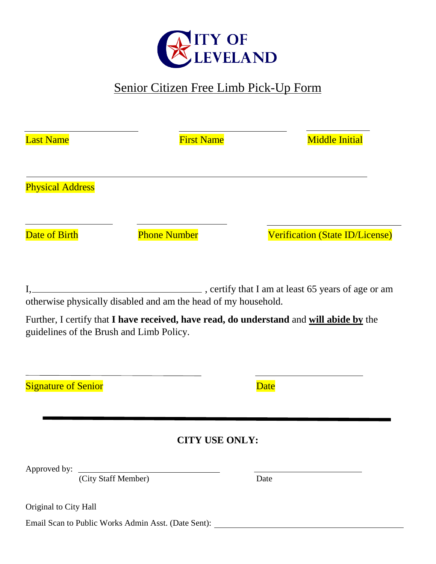

# Senior Citizen Free Limb Pick-Up Form

| <b>Last Name</b>                         | <b>First Name</b>                                              | <b>Middle Initial</b>                                                                   |  |
|------------------------------------------|----------------------------------------------------------------|-----------------------------------------------------------------------------------------|--|
| <b>Physical Address</b>                  |                                                                |                                                                                         |  |
| Date of Birth                            | <b>Phone Number</b>                                            | <b>Verification (State ID/License)</b>                                                  |  |
| guidelines of the Brush and Limb Policy. | otherwise physically disabled and am the head of my household. | Further, I certify that I have received, have read, do understand and will abide by the |  |
| <b>Signature of Senior</b>               |                                                                | <b>Date</b>                                                                             |  |
|                                          | <b>CITY USE ONLY:</b>                                          |                                                                                         |  |
|                                          | Approved by: <u>City Staff Member</u>                          | Date                                                                                    |  |
| Original to City Hall                    | Email Scan to Public Works Admin Asst. (Date Sent):            |                                                                                         |  |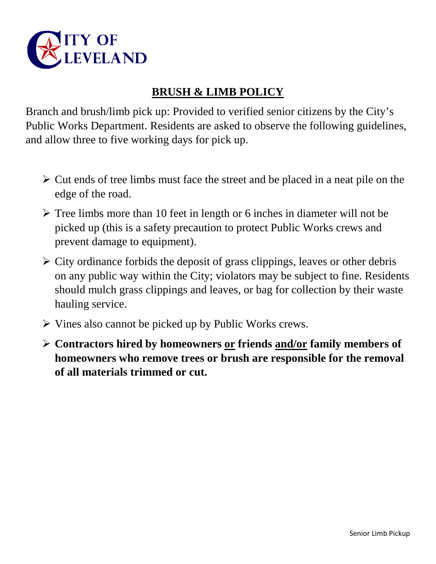

## **BRUSH & LIMB POLICY**

Branch and brush/limb pick up: Provided to verified senior citizens by the City's Public Works Department. Residents are asked to observe the following guidelines, and allow three to five working days for pick up.

- $\triangleright$  Cut ends of tree limbs must face the street and be placed in a neat pile on the edge of the road.
- $\triangleright$  Tree limbs more than 10 feet in length or 6 inches in diameter will not be picked up (this is a safety precaution to protect Public Works crews and prevent damage to equipment).
- $\triangleright$  City ordinance forbids the deposit of grass clippings, leaves or other debris on any public way within the City; violators may be subject to fine. Residents should mulch grass clippings and leaves, or bag for collection by their waste hauling service.
- $\triangleright$  Vines also cannot be picked up by Public Works crews.
- **Contractors hired by homeowners or friends and/or family members of homeowners who remove trees or brush are responsible for the removal of all materials trimmed or cut.**